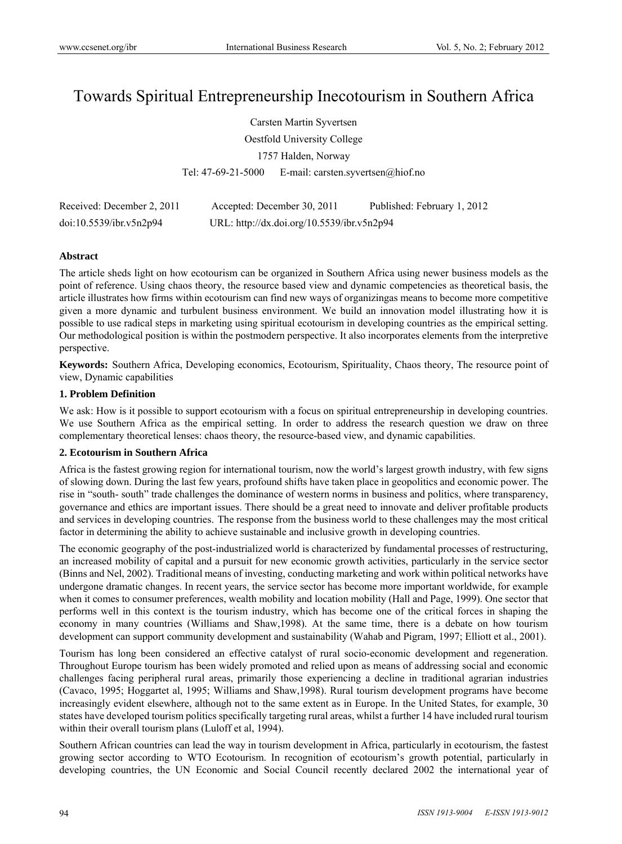# Towards Spiritual Entrepreneurship Inecotourism in Southern Africa

Carsten Martin Syvertsen

Oestfold University College

1757 Halden, Norway

Tel: 47-69-21-5000 E-mail: carsten.syvertsen@hiof.no

| Received: December 2, 2011 | Accepted: December 30, 2011                | Published: February 1, 2012 |
|----------------------------|--------------------------------------------|-----------------------------|
| doi:10.5539/ibr.v5n2p94    | URL: http://dx.doi.org/10.5539/ibr.v5n2p94 |                             |

# **Abstract**

The article sheds light on how ecotourism can be organized in Southern Africa using newer business models as the point of reference. Using chaos theory, the resource based view and dynamic competencies as theoretical basis, the article illustrates how firms within ecotourism can find new ways of organizingas means to become more competitive given a more dynamic and turbulent business environment. We build an innovation model illustrating how it is possible to use radical steps in marketing using spiritual ecotourism in developing countries as the empirical setting. Our methodological position is within the postmodern perspective. It also incorporates elements from the interpretive perspective.

**Keywords:** Southern Africa, Developing economics, Ecotourism, Spirituality, Chaos theory, The resource point of view, Dynamic capabilities

# **1. Problem Definition**

We ask: How is it possible to support ecotourism with a focus on spiritual entrepreneurship in developing countries. We use Southern Africa as the empirical setting. In order to address the research question we draw on three complementary theoretical lenses: chaos theory, the resource-based view, and dynamic capabilities.

#### **2. Ecotourism in Southern Africa**

Africa is the fastest growing region for international tourism, now the world's largest growth industry, with few signs of slowing down. During the last few years, profound shifts have taken place in geopolitics and economic power. The rise in "south- south" trade challenges the dominance of western norms in business and politics, where transparency, governance and ethics are important issues. There should be a great need to innovate and deliver profitable products and services in developing countries. The response from the business world to these challenges may the most critical factor in determining the ability to achieve sustainable and inclusive growth in developing countries.

The economic geography of the post-industrialized world is characterized by fundamental processes of restructuring, an increased mobility of capital and a pursuit for new economic growth activities, particularly in the service sector (Binns and Nel, 2002). Traditional means of investing, conducting marketing and work within political networks have undergone dramatic changes. In recent years, the service sector has become more important worldwide, for example when it comes to consumer preferences, wealth mobility and location mobility (Hall and Page, 1999). One sector that performs well in this context is the tourism industry, which has become one of the critical forces in shaping the economy in many countries (Williams and Shaw,1998). At the same time, there is a debate on how tourism development can support community development and sustainability (Wahab and Pigram, 1997; Elliott et al., 2001).

Tourism has long been considered an effective catalyst of rural socio-economic development and regeneration. Throughout Europe tourism has been widely promoted and relied upon as means of addressing social and economic challenges facing peripheral rural areas, primarily those experiencing a decline in traditional agrarian industries (Cavaco, 1995; Hoggartet al, 1995; Williams and Shaw,1998). Rural tourism development programs have become increasingly evident elsewhere, although not to the same extent as in Europe. In the United States, for example, 30 states have developed tourism politics specifically targeting rural areas, whilst a further 14 have included rural tourism within their overall tourism plans (Luloff et al, 1994).

Southern African countries can lead the way in tourism development in Africa, particularly in ecotourism, the fastest growing sector according to WTO Ecotourism. In recognition of ecotourism's growth potential, particularly in developing countries, the UN Economic and Social Council recently declared 2002 the international year of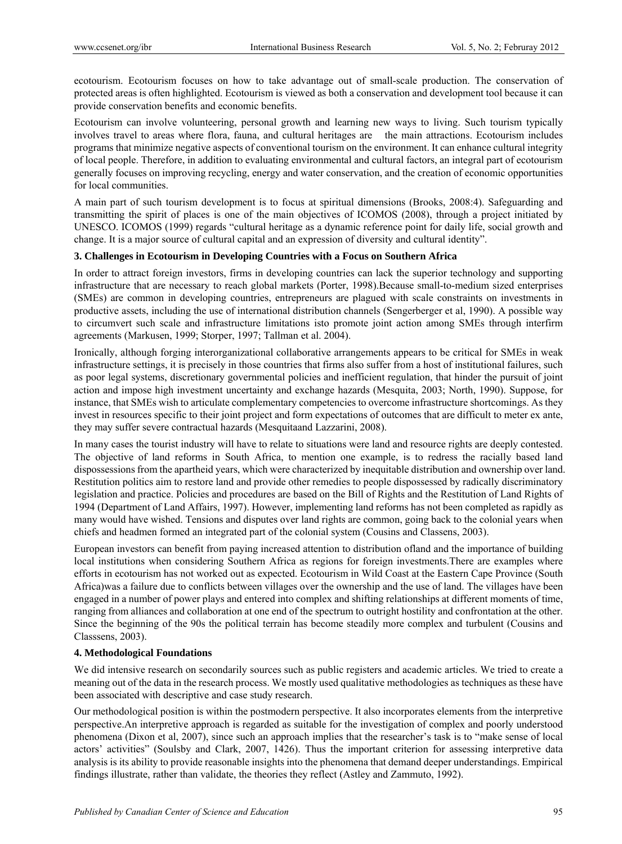ecotourism. Ecotourism focuses on how to take advantage out of small-scale production. The conservation of protected areas is often highlighted. Ecotourism is viewed as both a conservation and development tool because it can provide conservation benefits and economic benefits.

Ecotourism can involve volunteering, personal growth and learning new ways to living. Such tourism typically involves travel to areas where flora, fauna, and cultural heritages are the main attractions. Ecotourism includes programs that minimize negative aspects of conventional tourism on the environment. It can enhance cultural integrity of local people. Therefore, in addition to evaluating environmental and cultural factors, an integral part of ecotourism generally focuses on improving recycling, energy and water conservation, and the creation of economic opportunities for local communities.

A main part of such tourism development is to focus at spiritual dimensions (Brooks, 2008:4). Safeguarding and transmitting the spirit of places is one of the main objectives of ICOMOS (2008), through a project initiated by UNESCO. ICOMOS (1999) regards "cultural heritage as a dynamic reference point for daily life, social growth and change. It is a major source of cultural capital and an expression of diversity and cultural identity".

# **3. Challenges in Ecotourism in Developing Countries with a Focus on Southern Africa**

In order to attract foreign investors, firms in developing countries can lack the superior technology and supporting infrastructure that are necessary to reach global markets (Porter, 1998).Because small-to-medium sized enterprises (SMEs) are common in developing countries, entrepreneurs are plagued with scale constraints on investments in productive assets, including the use of international distribution channels (Sengerberger et al, 1990). A possible way to circumvert such scale and infrastructure limitations isto promote joint action among SMEs through interfirm agreements (Markusen, 1999; Storper, 1997; Tallman et al. 2004).

Ironically, although forging interorganizational collaborative arrangements appears to be critical for SMEs in weak infrastructure settings, it is precisely in those countries that firms also suffer from a host of institutional failures, such as poor legal systems, discretionary governmental policies and inefficient regulation, that hinder the pursuit of joint action and impose high investment uncertainty and exchange hazards (Mesquita, 2003; North, 1990). Suppose, for instance, that SMEs wish to articulate complementary competencies to overcome infrastructure shortcomings. As they invest in resources specific to their joint project and form expectations of outcomes that are difficult to meter ex ante, they may suffer severe contractual hazards (Mesquitaand Lazzarini, 2008).

In many cases the tourist industry will have to relate to situations were land and resource rights are deeply contested. The objective of land reforms in South Africa, to mention one example, is to redress the racially based land dispossessions from the apartheid years, which were characterized by inequitable distribution and ownership over land. Restitution politics aim to restore land and provide other remedies to people dispossessed by radically discriminatory legislation and practice. Policies and procedures are based on the Bill of Rights and the Restitution of Land Rights of 1994 (Department of Land Affairs, 1997). However, implementing land reforms has not been completed as rapidly as many would have wished. Tensions and disputes over land rights are common, going back to the colonial years when chiefs and headmen formed an integrated part of the colonial system (Cousins and Classens, 2003).

European investors can benefit from paying increased attention to distribution ofland and the importance of building local institutions when considering Southern Africa as regions for foreign investments.There are examples where efforts in ecotourism has not worked out as expected. Ecotourism in Wild Coast at the Eastern Cape Province (South Africa)was a failure due to conflicts between villages over the ownership and the use of land. The villages have been engaged in a number of power plays and entered into complex and shifting relationships at different moments of time, ranging from alliances and collaboration at one end of the spectrum to outright hostility and confrontation at the other. Since the beginning of the 90s the political terrain has become steadily more complex and turbulent (Cousins and Classsens, 2003).

# **4. Methodological Foundations**

We did intensive research on secondarily sources such as public registers and academic articles. We tried to create a meaning out of the data in the research process. We mostly used qualitative methodologies as techniques as these have been associated with descriptive and case study research.

Our methodological position is within the postmodern perspective. It also incorporates elements from the interpretive perspective.An interpretive approach is regarded as suitable for the investigation of complex and poorly understood phenomena (Dixon et al, 2007), since such an approach implies that the researcher's task is to "make sense of local actors' activities" (Soulsby and Clark, 2007, 1426). Thus the important criterion for assessing interpretive data analysis is its ability to provide reasonable insights into the phenomena that demand deeper understandings. Empirical findings illustrate, rather than validate, the theories they reflect (Astley and Zammuto, 1992).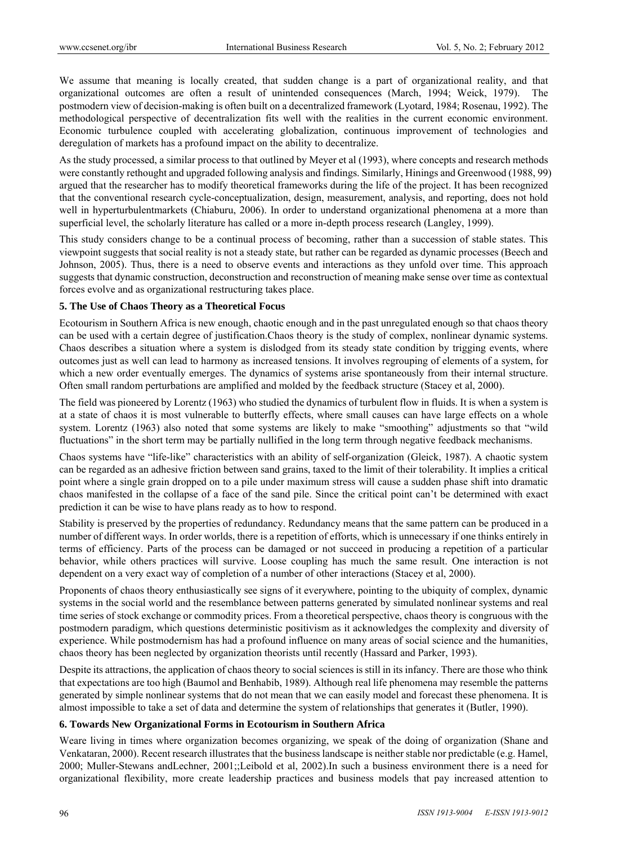We assume that meaning is locally created, that sudden change is a part of organizational reality, and that organizational outcomes are often a result of unintended consequences (March, 1994; Weick, 1979). The postmodern view of decision-making is often built on a decentralized framework (Lyotard, 1984; Rosenau, 1992). The methodological perspective of decentralization fits well with the realities in the current economic environment. Economic turbulence coupled with accelerating globalization, continuous improvement of technologies and deregulation of markets has a profound impact on the ability to decentralize.

As the study processed, a similar process to that outlined by Meyer et al (1993), where concepts and research methods were constantly rethought and upgraded following analysis and findings. Similarly, Hinings and Greenwood (1988, 99) argued that the researcher has to modify theoretical frameworks during the life of the project. It has been recognized that the conventional research cycle-conceptualization, design, measurement, analysis, and reporting, does not hold well in hyperturbulentmarkets (Chiaburu, 2006). In order to understand organizational phenomena at a more than superficial level, the scholarly literature has called or a more in-depth process research (Langley, 1999).

This study considers change to be a continual process of becoming, rather than a succession of stable states. This viewpoint suggests that social reality is not a steady state, but rather can be regarded as dynamic processes (Beech and Johnson, 2005). Thus, there is a need to observe events and interactions as they unfold over time. This approach suggests that dynamic construction, deconstruction and reconstruction of meaning make sense over time as contextual forces evolve and as organizational restructuring takes place.

#### **5. The Use of Chaos Theory as a Theoretical Focus**

Ecotourism in Southern Africa is new enough, chaotic enough and in the past unregulated enough so that chaos theory can be used with a certain degree of justification.Chaos theory is the study of complex, nonlinear dynamic systems. Chaos describes a situation where a system is dislodged from its steady state condition by trigging events, where outcomes just as well can lead to harmony as increased tensions. It involves regrouping of elements of a system, for which a new order eventually emerges. The dynamics of systems arise spontaneously from their internal structure. Often small random perturbations are amplified and molded by the feedback structure (Stacey et al, 2000).

The field was pioneered by Lorentz (1963) who studied the dynamics of turbulent flow in fluids. It is when a system is at a state of chaos it is most vulnerable to butterfly effects, where small causes can have large effects on a whole system. Lorentz (1963) also noted that some systems are likely to make "smoothing" adjustments so that "wild fluctuations" in the short term may be partially nullified in the long term through negative feedback mechanisms.

Chaos systems have "life-like" characteristics with an ability of self-organization (Gleick, 1987). A chaotic system can be regarded as an adhesive friction between sand grains, taxed to the limit of their tolerability. It implies a critical point where a single grain dropped on to a pile under maximum stress will cause a sudden phase shift into dramatic chaos manifested in the collapse of a face of the sand pile. Since the critical point can't be determined with exact prediction it can be wise to have plans ready as to how to respond.

Stability is preserved by the properties of redundancy. Redundancy means that the same pattern can be produced in a number of different ways. In order worlds, there is a repetition of efforts, which is unnecessary if one thinks entirely in terms of efficiency. Parts of the process can be damaged or not succeed in producing a repetition of a particular behavior, while others practices will survive. Loose coupling has much the same result. One interaction is not dependent on a very exact way of completion of a number of other interactions (Stacey et al, 2000).

Proponents of chaos theory enthusiastically see signs of it everywhere, pointing to the ubiquity of complex, dynamic systems in the social world and the resemblance between patterns generated by simulated nonlinear systems and real time series of stock exchange or commodity prices. From a theoretical perspective, chaos theory is congruous with the postmodern paradigm, which questions deterministic positivism as it acknowledges the complexity and diversity of experience. While postmodernism has had a profound influence on many areas of social science and the humanities, chaos theory has been neglected by organization theorists until recently (Hassard and Parker, 1993).

Despite its attractions, the application of chaos theory to social sciences is still in its infancy. There are those who think that expectations are too high (Baumol and Benhabib, 1989). Although real life phenomena may resemble the patterns generated by simple nonlinear systems that do not mean that we can easily model and forecast these phenomena. It is almost impossible to take a set of data and determine the system of relationships that generates it (Butler, 1990).

# **6. Towards New Organizational Forms in Ecotourism in Southern Africa**

Weare living in times where organization becomes organizing, we speak of the doing of organization (Shane and Venkataran, 2000). Recent research illustrates that the business landscape is neither stable nor predictable (e.g. Hamel, 2000; Muller-Stewans andLechner, 2001;;Leibold et al, 2002).In such a business environment there is a need for organizational flexibility, more create leadership practices and business models that pay increased attention to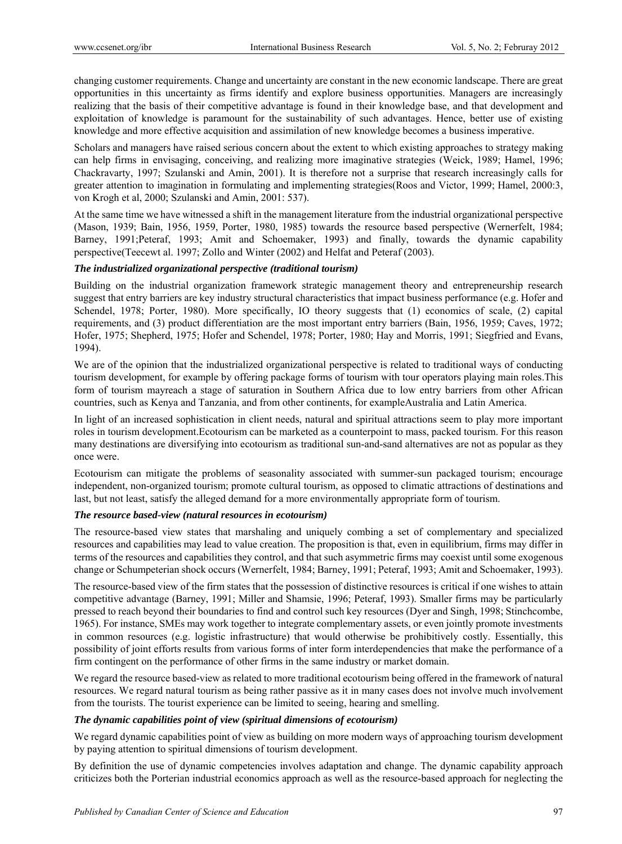changing customer requirements. Change and uncertainty are constant in the new economic landscape. There are great opportunities in this uncertainty as firms identify and explore business opportunities. Managers are increasingly realizing that the basis of their competitive advantage is found in their knowledge base, and that development and exploitation of knowledge is paramount for the sustainability of such advantages. Hence, better use of existing knowledge and more effective acquisition and assimilation of new knowledge becomes a business imperative.

Scholars and managers have raised serious concern about the extent to which existing approaches to strategy making can help firms in envisaging, conceiving, and realizing more imaginative strategies (Weick, 1989; Hamel, 1996; Chackravarty, 1997; Szulanski and Amin, 2001). It is therefore not a surprise that research increasingly calls for greater attention to imagination in formulating and implementing strategies(Roos and Victor, 1999; Hamel, 2000:3, von Krogh et al, 2000; Szulanski and Amin, 2001: 537).

At the same time we have witnessed a shift in the management literature from the industrial organizational perspective (Mason, 1939; Bain, 1956, 1959, Porter, 1980, 1985) towards the resource based perspective (Wernerfelt, 1984; Barney, 1991;Peteraf, 1993; Amit and Schoemaker, 1993) and finally, towards the dynamic capability perspective(Teecewt al. 1997; Zollo and Winter (2002) and Helfat and Peteraf (2003).

# *The industrialized organizational perspective (traditional tourism)*

Building on the industrial organization framework strategic management theory and entrepreneurship research suggest that entry barriers are key industry structural characteristics that impact business performance (e.g. Hofer and Schendel, 1978; Porter, 1980). More specifically, IO theory suggests that (1) economics of scale, (2) capital requirements, and (3) product differentiation are the most important entry barriers (Bain, 1956, 1959; Caves, 1972; Hofer, 1975; Shepherd, 1975; Hofer and Schendel, 1978; Porter, 1980; Hay and Morris, 1991; Siegfried and Evans, 1994).

We are of the opinion that the industrialized organizational perspective is related to traditional ways of conducting tourism development, for example by offering package forms of tourism with tour operators playing main roles.This form of tourism mayreach a stage of saturation in Southern Africa due to low entry barriers from other African countries, such as Kenya and Tanzania, and from other continents, for exampleAustralia and Latin America.

In light of an increased sophistication in client needs, natural and spiritual attractions seem to play more important roles in tourism development. Ecotourism can be marketed as a counterpoint to mass, packed tourism. For this reason many destinations are diversifying into ecotourism as traditional sun-and-sand alternatives are not as popular as they once were.

Ecotourism can mitigate the problems of seasonality associated with summer-sun packaged tourism; encourage independent, non-organized tourism; promote cultural tourism, as opposed to climatic attractions of destinations and last, but not least, satisfy the alleged demand for a more environmentally appropriate form of tourism.

#### *The resource based-view (natural resources in ecotourism)*

The resource-based view states that marshaling and uniquely combing a set of complementary and specialized resources and capabilities may lead to value creation. The proposition is that, even in equilibrium, firms may differ in terms of the resources and capabilities they control, and that such asymmetric firms may coexist until some exogenous change or Schumpeterian shock occurs (Wernerfelt, 1984; Barney, 1991; Peteraf, 1993; Amit and Schoemaker, 1993).

The resource-based view of the firm states that the possession of distinctive resources is critical if one wishes to attain competitive advantage (Barney, 1991; Miller and Shamsie, 1996; Peteraf, 1993). Smaller firms may be particularly pressed to reach beyond their boundaries to find and control such key resources (Dyer and Singh, 1998; Stinchcombe, 1965). For instance, SMEs may work together to integrate complementary assets, or even jointly promote investments in common resources (e.g. logistic infrastructure) that would otherwise be prohibitively costly. Essentially, this possibility of joint efforts results from various forms of inter form interdependencies that make the performance of a firm contingent on the performance of other firms in the same industry or market domain.

We regard the resource based-view as related to more traditional ecotourism being offered in the framework of natural resources. We regard natural tourism as being rather passive as it in many cases does not involve much involvement from the tourists. The tourist experience can be limited to seeing, hearing and smelling.

#### *The dynamic capabilities point of view (spiritual dimensions of ecotourism)*

We regard dynamic capabilities point of view as building on more modern ways of approaching tourism development by paying attention to spiritual dimensions of tourism development.

By definition the use of dynamic competencies involves adaptation and change. The dynamic capability approach criticizes both the Porterian industrial economics approach as well as the resource-based approach for neglecting the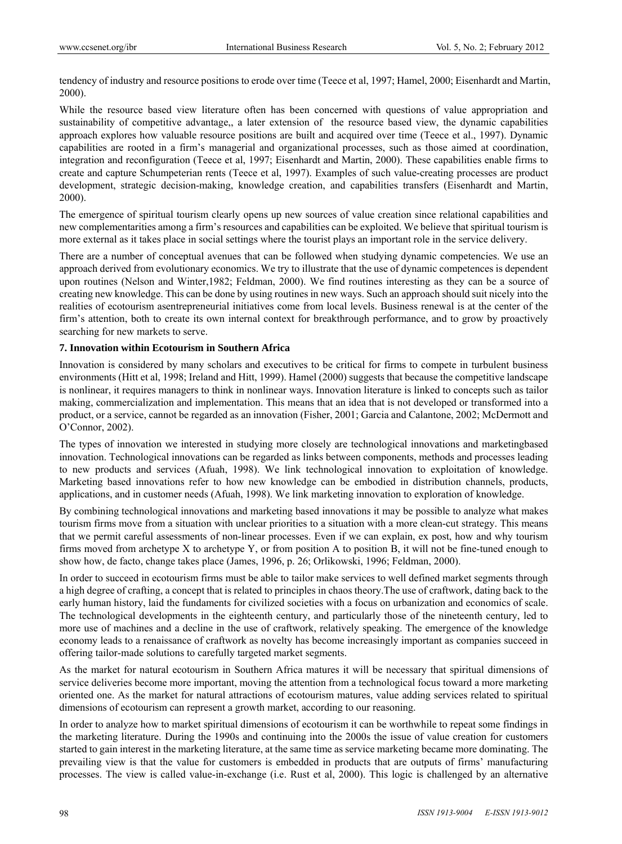tendency of industry and resource positions to erode over time (Teece et al, 1997; Hamel, 2000; Eisenhardt and Martin, 2000).

While the resource based view literature often has been concerned with questions of value appropriation and sustainability of competitive advantage,, a later extension of the resource based view, the dynamic capabilities approach explores how valuable resource positions are built and acquired over time (Teece et al., 1997). Dynamic capabilities are rooted in a firm's managerial and organizational processes, such as those aimed at coordination, integration and reconfiguration (Teece et al, 1997; Eisenhardt and Martin, 2000). These capabilities enable firms to create and capture Schumpeterian rents (Teece et al, 1997). Examples of such value-creating processes are product development, strategic decision-making, knowledge creation, and capabilities transfers (Eisenhardt and Martin, 2000).

The emergence of spiritual tourism clearly opens up new sources of value creation since relational capabilities and new complementarities among a firm's resources and capabilities can be exploited. We believe that spiritual tourism is more external as it takes place in social settings where the tourist plays an important role in the service delivery.

There are a number of conceptual avenues that can be followed when studying dynamic competencies. We use an approach derived from evolutionary economics. We try to illustrate that the use of dynamic competences is dependent upon routines (Nelson and Winter,1982; Feldman, 2000). We find routines interesting as they can be a source of creating new knowledge. This can be done by using routines in new ways. Such an approach should suit nicely into the realities of ecotourism asentrepreneurial initiatives come from local levels. Business renewal is at the center of the firm's attention, both to create its own internal context for breakthrough performance, and to grow by proactively searching for new markets to serve.

#### **7. Innovation within Ecotourism in Southern Africa**

Innovation is considered by many scholars and executives to be critical for firms to compete in turbulent business environments (Hitt et al, 1998; Ireland and Hitt, 1999). Hamel (2000) suggests that because the competitive landscape is nonlinear, it requires managers to think in nonlinear ways. Innovation literature is linked to concepts such as tailor making, commercialization and implementation. This means that an idea that is not developed or transformed into a product, or a service, cannot be regarded as an innovation (Fisher, 2001; Garcia and Calantone, 2002; McDermott and O'Connor, 2002).

The types of innovation we interested in studying more closely are technological innovations and marketingbased innovation. Technological innovations can be regarded as links between components, methods and processes leading to new products and services (Afuah, 1998). We link technological innovation to exploitation of knowledge. Marketing based innovations refer to how new knowledge can be embodied in distribution channels, products, applications, and in customer needs (Afuah, 1998). We link marketing innovation to exploration of knowledge.

By combining technological innovations and marketing based innovations it may be possible to analyze what makes tourism firms move from a situation with unclear priorities to a situation with a more clean-cut strategy. This means that we permit careful assessments of non-linear processes. Even if we can explain, ex post, how and why tourism firms moved from archetype X to archetype Y, or from position A to position B, it will not be fine-tuned enough to show how, de facto, change takes place (James, 1996, p. 26; Orlikowski, 1996; Feldman, 2000).

In order to succeed in ecotourism firms must be able to tailor make services to well defined market segments through a high degree of crafting, a concept that is related to principles in chaos theory.The use of craftwork, dating back to the early human history, laid the fundaments for civilized societies with a focus on urbanization and economics of scale. The technological developments in the eighteenth century, and particularly those of the nineteenth century, led to more use of machines and a decline in the use of craftwork, relatively speaking. The emergence of the knowledge economy leads to a renaissance of craftwork as novelty has become increasingly important as companies succeed in offering tailor-made solutions to carefully targeted market segments.

As the market for natural ecotourism in Southern Africa matures it will be necessary that spiritual dimensions of service deliveries become more important, moving the attention from a technological focus toward a more marketing oriented one. As the market for natural attractions of ecotourism matures, value adding services related to spiritual dimensions of ecotourism can represent a growth market, according to our reasoning.

In order to analyze how to market spiritual dimensions of ecotourism it can be worthwhile to repeat some findings in the marketing literature. During the 1990s and continuing into the 2000s the issue of value creation for customers started to gain interest in the marketing literature, at the same time as service marketing became more dominating. The prevailing view is that the value for customers is embedded in products that are outputs of firms' manufacturing processes. The view is called value-in-exchange (i.e. Rust et al, 2000). This logic is challenged by an alternative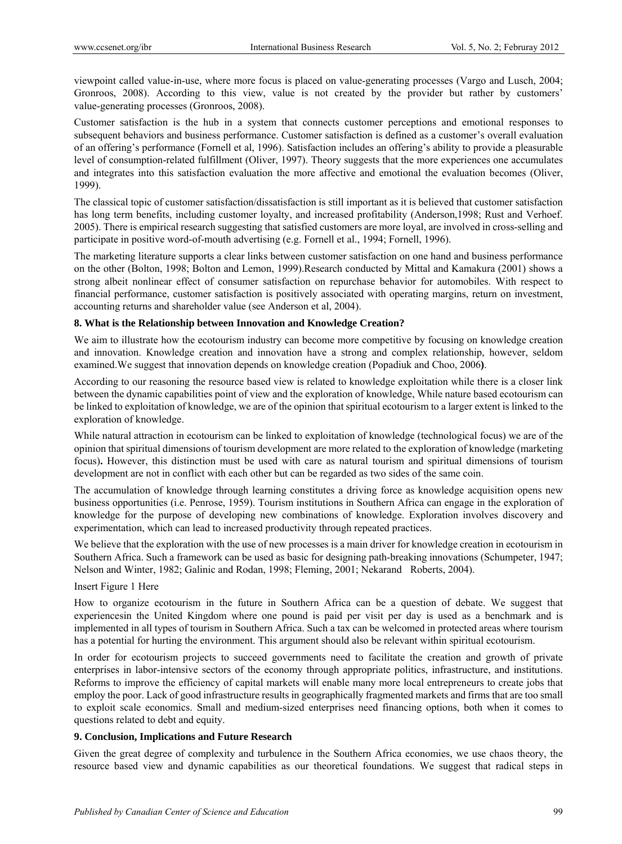viewpoint called value-in-use, where more focus is placed on value-generating processes (Vargo and Lusch, 2004; Gronroos, 2008). According to this view, value is not created by the provider but rather by customers' value-generating processes (Gronroos, 2008).

Customer satisfaction is the hub in a system that connects customer perceptions and emotional responses to subsequent behaviors and business performance. Customer satisfaction is defined as a customer's overall evaluation of an offering's performance (Fornell et al, 1996). Satisfaction includes an offering's ability to provide a pleasurable level of consumption-related fulfillment (Oliver, 1997). Theory suggests that the more experiences one accumulates and integrates into this satisfaction evaluation the more affective and emotional the evaluation becomes (Oliver, 1999).

The classical topic of customer satisfaction/dissatisfaction is still important as it is believed that customer satisfaction has long term benefits, including customer loyalty, and increased profitability (Anderson,1998; Rust and Verhoef. 2005). There is empirical research suggesting that satisfied customers are more loyal, are involved in cross-selling and participate in positive word-of-mouth advertising (e.g. Fornell et al., 1994; Fornell, 1996).

The marketing literature supports a clear links between customer satisfaction on one hand and business performance on the other (Bolton, 1998; Bolton and Lemon, 1999).Research conducted by Mittal and Kamakura (2001) shows a strong albeit nonlinear effect of consumer satisfaction on repurchase behavior for automobiles. With respect to financial performance, customer satisfaction is positively associated with operating margins, return on investment, accounting returns and shareholder value (see Anderson et al, 2004).

# **8. What is the Relationship between Innovation and Knowledge Creation?**

We aim to illustrate how the ecotourism industry can become more competitive by focusing on knowledge creation and innovation. Knowledge creation and innovation have a strong and complex relationship, however, seldom examined.We suggest that innovation depends on knowledge creation (Popadiuk and Choo, 2006**)**.

According to our reasoning the resource based view is related to knowledge exploitation while there is a closer link between the dynamic capabilities point of view and the exploration of knowledge, While nature based ecotourism can be linked to exploitation of knowledge, we are of the opinion that spiritual ecotourism to a larger extent is linked to the exploration of knowledge.

While natural attraction in ecotourism can be linked to exploitation of knowledge (technological focus) we are of the opinion that spiritual dimensions of tourism development are more related to the exploration of knowledge (marketing focus)**.** However, this distinction must be used with care as natural tourism and spiritual dimensions of tourism development are not in conflict with each other but can be regarded as two sides of the same coin.

The accumulation of knowledge through learning constitutes a driving force as knowledge acquisition opens new business opportunities (i.e. Penrose, 1959). Tourism institutions in Southern Africa can engage in the exploration of knowledge for the purpose of developing new combinations of knowledge. Exploration involves discovery and experimentation, which can lead to increased productivity through repeated practices.

We believe that the exploration with the use of new processes is a main driver for knowledge creation in ecotourism in Southern Africa. Such a framework can be used as basic for designing path-breaking innovations (Schumpeter, 1947; Nelson and Winter, 1982; Galinic and Rodan, 1998; Fleming, 2001; Nekarand Roberts, 2004).

#### Insert Figure 1 Here

How to organize ecotourism in the future in Southern Africa can be a question of debate. We suggest that experiencesin the United Kingdom where one pound is paid per visit per day is used as a benchmark and is implemented in all types of tourism in Southern Africa. Such a tax can be welcomed in protected areas where tourism has a potential for hurting the environment. This argument should also be relevant within spiritual ecotourism.

In order for ecotourism projects to succeed governments need to facilitate the creation and growth of private enterprises in labor-intensive sectors of the economy through appropriate politics, infrastructure, and institutions. Reforms to improve the efficiency of capital markets will enable many more local entrepreneurs to create jobs that employ the poor. Lack of good infrastructure results in geographically fragmented markets and firms that are too small to exploit scale economics. Small and medium-sized enterprises need financing options, both when it comes to questions related to debt and equity.

#### **9. Conclusion, Implications and Future Research**

Given the great degree of complexity and turbulence in the Southern Africa economies, we use chaos theory, the resource based view and dynamic capabilities as our theoretical foundations. We suggest that radical steps in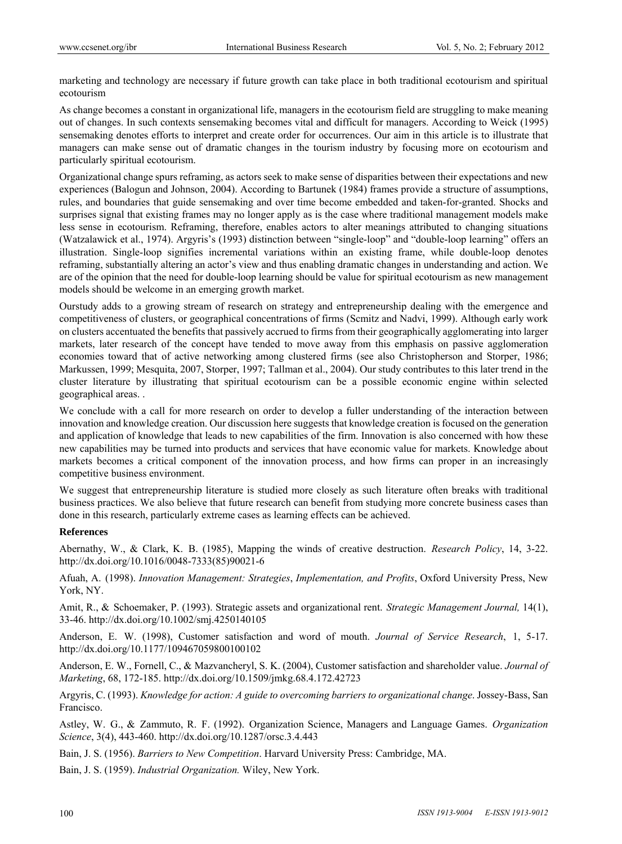marketing and technology are necessary if future growth can take place in both traditional ecotourism and spiritual ecotourism

As change becomes a constant in organizational life, managers in the ecotourism field are struggling to make meaning out of changes. In such contexts sensemaking becomes vital and difficult for managers. According to Weick (1995) sensemaking denotes efforts to interpret and create order for occurrences. Our aim in this article is to illustrate that managers can make sense out of dramatic changes in the tourism industry by focusing more on ecotourism and particularly spiritual ecotourism.

Organizational change spurs reframing, as actors seek to make sense of disparities between their expectations and new experiences (Balogun and Johnson, 2004). According to Bartunek (1984) frames provide a structure of assumptions, rules, and boundaries that guide sensemaking and over time become embedded and taken-for-granted. Shocks and surprises signal that existing frames may no longer apply as is the case where traditional management models make less sense in ecotourism. Reframing, therefore, enables actors to alter meanings attributed to changing situations (Watzalawick et al., 1974). Argyris's (1993) distinction between "single-loop" and "double-loop learning" offers an illustration. Single-loop signifies incremental variations within an existing frame, while double-loop denotes reframing, substantially altering an actor's view and thus enabling dramatic changes in understanding and action. We are of the opinion that the need for double-loop learning should be value for spiritual ecotourism as new management models should be welcome in an emerging growth market.

Ourstudy adds to a growing stream of research on strategy and entrepreneurship dealing with the emergence and competitiveness of clusters, or geographical concentrations of firms (Scmitz and Nadvi, 1999). Although early work on clusters accentuated the benefits that passively accrued to firms from their geographically agglomerating into larger markets, later research of the concept have tended to move away from this emphasis on passive agglomeration economies toward that of active networking among clustered firms (see also Christopherson and Storper, 1986; Markussen, 1999; Mesquita, 2007, Storper, 1997; Tallman et al., 2004). Our study contributes to this later trend in the cluster literature by illustrating that spiritual ecotourism can be a possible economic engine within selected geographical areas. .

We conclude with a call for more research on order to develop a fuller understanding of the interaction between innovation and knowledge creation. Our discussion here suggests that knowledge creation is focused on the generation and application of knowledge that leads to new capabilities of the firm. Innovation is also concerned with how these new capabilities may be turned into products and services that have economic value for markets. Knowledge about markets becomes a critical component of the innovation process, and how firms can proper in an increasingly competitive business environment.

We suggest that entrepreneurship literature is studied more closely as such literature often breaks with traditional business practices. We also believe that future research can benefit from studying more concrete business cases than done in this research, particularly extreme cases as learning effects can be achieved.

#### **References**

Abernathy, W., & Clark, K. B. (1985), Mapping the winds of creative destruction. *Research Policy*, 14, 3-22. http://dx.doi.org/10.1016/0048-7333(85)90021-6

Afuah, A. (1998). *Innovation Management: Strategies*, *Implementation, and Profits*, Oxford University Press, New York, NY.

Amit, R., & Schoemaker, P. (1993). Strategic assets and organizational rent. *Strategic Management Journal,* 14(1), 33-46. http://dx.doi.org/10.1002/smj.4250140105

Anderson, E. W. (1998), Customer satisfaction and word of mouth. *Journal of Service Research*, 1, 5-17. http://dx.doi.org/10.1177/109467059800100102

Anderson, E. W., Fornell, C., & Mazvancheryl, S. K. (2004), Customer satisfaction and shareholder value. *Journal of Marketing*, 68, 172-185. http://dx.doi.org/10.1509/jmkg.68.4.172.42723

Argyris, C. (1993). *Knowledge for action: A guide to overcoming barriers to organizational change*. Jossey-Bass, San Francisco.

Astley, W. G., & Zammuto, R. F. (1992). Organization Science, Managers and Language Games. *Organization Science*, 3(4), 443-460. http://dx.doi.org/10.1287/orsc.3.4.443

Bain, J. S. (1956). *Barriers to New Competition*. Harvard University Press: Cambridge, MA.

Bain, J. S. (1959). *Industrial Organization.* Wiley, New York.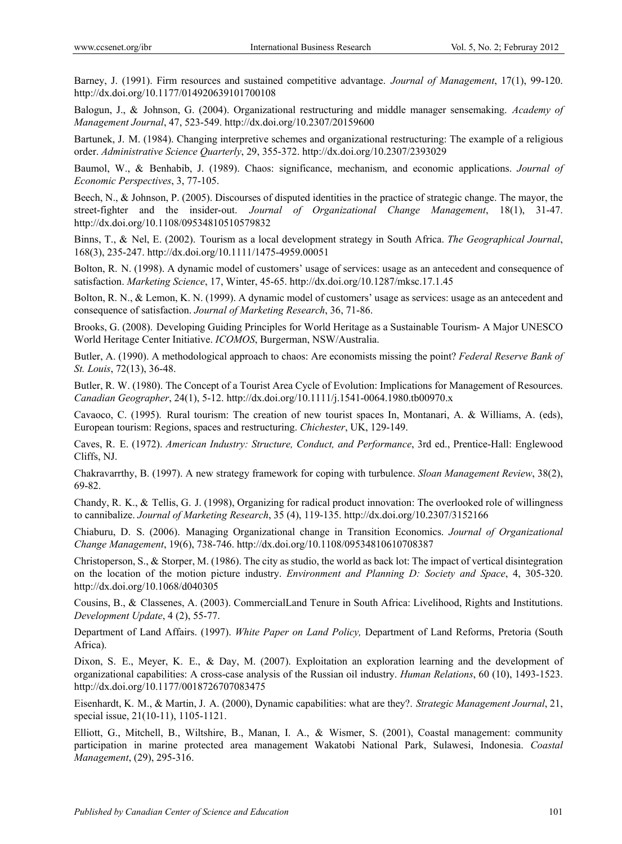Barney, J. (1991). Firm resources and sustained competitive advantage. *Journal of Management*, 17(1), 99-120. http://dx.doi.org/10.1177/014920639101700108

Balogun, J., & Johnson, G. (2004). Organizational restructuring and middle manager sensemaking. *Academy of Management Journal*, 47, 523-549. http://dx.doi.org/10.2307/20159600

Bartunek, J. M. (1984). Changing interpretive schemes and organizational restructuring: The example of a religious order. *Administrative Science Quarterly*, 29, 355-372. http://dx.doi.org/10.2307/2393029

Baumol, W., & Benhabib, J. (1989). Chaos: significance, mechanism, and economic applications. *Journal of Economic Perspectives*, 3, 77-105.

Beech, N., & Johnson, P. (2005). Discourses of disputed identities in the practice of strategic change. The mayor, the street-fighter and the insider-out. *Journal of Organizational Change Management*, 18(1), 31-47. http://dx.doi.org/10.1108/09534810510579832

Binns, T., & Nel, E. (2002). Tourism as a local development strategy in South Africa. *The Geographical Journal*, 168(3), 235-247. http://dx.doi.org/10.1111/1475-4959.00051

Bolton, R. N. (1998). A dynamic model of customers' usage of services: usage as an antecedent and consequence of satisfaction. *Marketing Science*, 17, Winter, 45-65. http://dx.doi.org/10.1287/mksc.17.1.45

Bolton, R. N., & Lemon, K. N. (1999). A dynamic model of customers' usage as services: usage as an antecedent and consequence of satisfaction. *Journal of Marketing Research*, 36, 71-86.

Brooks, G. (2008). Developing Guiding Principles for World Heritage as a Sustainable Tourism- A Major UNESCO World Heritage Center Initiative. *ICOMOS*, Burgerman, NSW/Australia.

Butler, A. (1990). A methodological approach to chaos: Are economists missing the point? *Federal Reserve Bank of St. Louis*, 72(13), 36-48.

Butler, R. W. (1980). The Concept of a Tourist Area Cycle of Evolution: Implications for Management of Resources. *Canadian Geographer*, 24(1), 5-12. http://dx.doi.org/10.1111/j.1541-0064.1980.tb00970.x

Cavaoco, C. (1995). Rural tourism: The creation of new tourist spaces In, Montanari, A. & Williams, A. (eds), European tourism: Regions, spaces and restructuring. *Chichester*, UK, 129-149.

Caves, R. E. (1972). *American Industry: Structure, Conduct, and Performance*, 3rd ed., Prentice-Hall: Englewood Cliffs, NJ.

Chakravarrthy, B. (1997). A new strategy framework for coping with turbulence. *Sloan Management Review*, 38(2), 69-82.

Chandy, R. K., & Tellis, G. J. (1998), Organizing for radical product innovation: The overlooked role of willingness to cannibalize. *Journal of Marketing Research*, 35 (4), 119-135. http://dx.doi.org/10.2307/3152166

Chiaburu, D. S. (2006). Managing Organizational change in Transition Economics. *Journal of Organizational Change Management*, 19(6), 738-746. http://dx.doi.org/10.1108/09534810610708387

Christoperson, S., & Storper, M. (1986). The city as studio, the world as back lot: The impact of vertical disintegration on the location of the motion picture industry. *Environment and Planning D: Society and Space*, 4, 305-320. http://dx.doi.org/10.1068/d040305

Cousins, B., & Classenes, A. (2003). CommercialLand Tenure in South Africa: Livelihood, Rights and Institutions. *Development Update*, 4 (2), 55-77.

Department of Land Affairs. (1997). *White Paper on Land Policy,* Department of Land Reforms, Pretoria (South Africa).

Dixon, S. E., Meyer, K. E., & Day, M. (2007). Exploitation an exploration learning and the development of organizational capabilities: A cross-case analysis of the Russian oil industry. *Human Relations*, 60 (10), 1493-1523. http://dx.doi.org/10.1177/0018726707083475

Eisenhardt, K. M., & Martin, J. A. (2000), Dynamic capabilities: what are they?. *Strategic Management Journal*, 21, special issue, 21(10-11), 1105-1121.

Elliott, G., Mitchell, B., Wiltshire, B., Manan, I. A., & Wismer, S. (2001), Coastal management: community participation in marine protected area management Wakatobi National Park, Sulawesi, Indonesia. *Coastal Management*, (29), 295-316.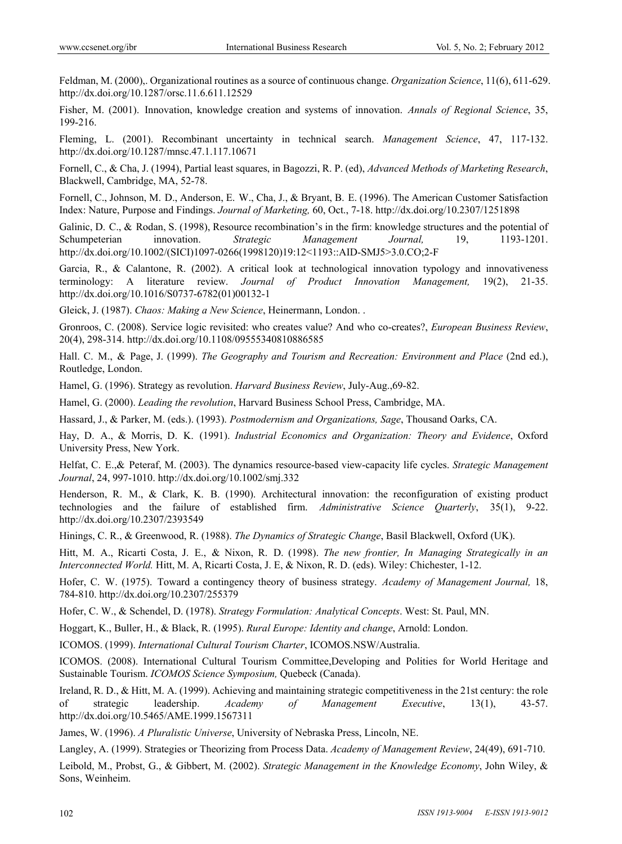Feldman, M. (2000),. Organizational routines as a source of continuous change. *Organization Science*, 11(6), 611-629. http://dx.doi.org/10.1287/orsc.11.6.611.12529

Fisher, M. (2001). Innovation, knowledge creation and systems of innovation. *Annals of Regional Science*, 35, 199-216.

Fleming, L. (2001). Recombinant uncertainty in technical search. *Management Science*, 47, 117-132. http://dx.doi.org/10.1287/mnsc.47.1.117.10671

Fornell, C., & Cha, J. (1994), Partial least squares, in Bagozzi, R. P. (ed), *Advanced Methods of Marketing Research*, Blackwell, Cambridge, MA, 52-78.

Fornell, C., Johnson, M. D., Anderson, E. W., Cha, J., & Bryant, B. E. (1996). The American Customer Satisfaction Index: Nature, Purpose and Findings. *Journal of Marketing,* 60, Oct., 7-18. http://dx.doi.org/10.2307/1251898

Galinic, D. C., & Rodan, S. (1998), Resource recombination's in the firm: knowledge structures and the potential of Schumpeterian innovation. *Strategic Management Journal,* 19, 1193-1201. http://dx.doi.org/10.1002/(SICI)1097-0266(1998120)19:12<1193::AID-SMJ5>3.0.CO;2-F

Garcia, R., & Calantone, R. (2002). A critical look at technological innovation typology and innovativeness terminology: A literature review. *Journal of Product Innovation Management,* 19(2), 21-35. http://dx.doi.org/10.1016/S0737-6782(01)00132-1

Gleick, J. (1987). *Chaos: Making a New Science*, Heinermann, London. .

Gronroos, C. (2008). Service logic revisited: who creates value? And who co-creates?, *European Business Review*, 20(4), 298-314. http://dx.doi.org/10.1108/09555340810886585

Hall. C. M., & Page, J. (1999). *The Geography and Tourism and Recreation: Environment and Place* (2nd ed.), Routledge, London.

Hamel, G. (1996). Strategy as revolution. *Harvard Business Review*, July-Aug.,69-82.

Hamel, G. (2000). *Leading the revolution*, Harvard Business School Press, Cambridge, MA.

Hassard, J., & Parker, M. (eds.). (1993). *Postmodernism and Organizations, Sage*, Thousand Oarks, CA.

Hay, D. A., & Morris, D. K. (1991). *Industrial Economics and Organization: Theory and Evidence*, Oxford University Press, New York.

Helfat, C. E.,& Peteraf, M. (2003). The dynamics resource-based view-capacity life cycles. *Strategic Management Journal*, 24, 997-1010. http://dx.doi.org/10.1002/smj.332

Henderson, R. M., & Clark, K. B. (1990). Architectural innovation: the reconfiguration of existing product technologies and the failure of established firm. *Administrative Science Quarterly*, 35(1), 9-22. http://dx.doi.org/10.2307/2393549

Hinings, C. R., & Greenwood, R. (1988). *The Dynamics of Strategic Change*, Basil Blackwell, Oxford (UK).

Hitt, M. A., Ricarti Costa, J. E., & Nixon, R. D. (1998). *The new frontier, In Managing Strategically in an Interconnected World.* Hitt, M. A, Ricarti Costa, J. E, & Nixon, R. D. (eds). Wiley: Chichester, 1-12.

Hofer, C. W. (1975). Toward a contingency theory of business strategy. *Academy of Management Journal,* 18, 784-810. http://dx.doi.org/10.2307/255379

Hofer, C. W., & Schendel, D. (1978). *Strategy Formulation: Analytical Concepts*. West: St. Paul, MN.

Hoggart, K., Buller, H., & Black, R. (1995). *Rural Europe: Identity and change*, Arnold: London.

ICOMOS. (1999). *International Cultural Tourism Charter*, ICOMOS.NSW/Australia.

ICOMOS. (2008). International Cultural Tourism Committee,Developing and Polities for World Heritage and Sustainable Tourism. *ICOMOS Science Symposium,* Quebeck (Canada).

Ireland, R. D., & Hitt, M. A. (1999). Achieving and maintaining strategic competitiveness in the 21st century: the role of strategic leadership. *Academy of Management Executive*, 13(1), 43-57. http://dx.doi.org/10.5465/AME.1999.1567311

James, W. (1996). *A Pluralistic Universe*, University of Nebraska Press, Lincoln, NE.

Langley, A. (1999). Strategies or Theorizing from Process Data. *Academy of Management Review*, 24(49), 691-710.

Leibold, M., Probst, G., & Gibbert, M. (2002). *Strategic Management in the Knowledge Economy*, John Wiley, & Sons, Weinheim.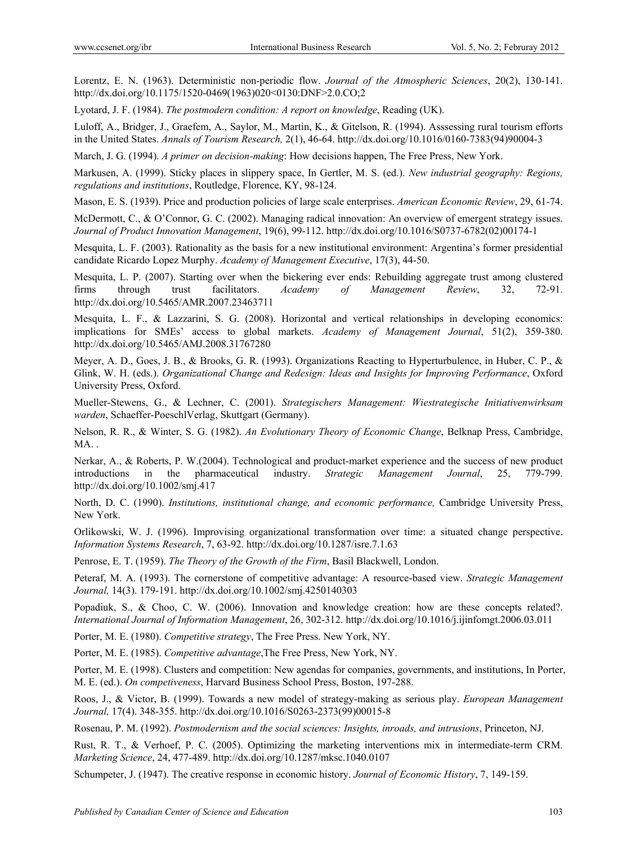Lorentz, E. N. (1963). Deterministic non-periodic flow. *Journal of the Atmospheric Sciences*, 20(2), 130-141. http://dx.doi.org/10.1175/1520-0469(1963)020<0130:DNF>2.0.CO;2

Lyotard, J. F. (1984). *The postmodern condition: A report on knowledge*, Reading (UK).

Luloff, A., Bridger, J., Graefem, A., Saylor, M., Martin, K., & Gitelson, R. (1994). Asssessing rural tourism efforts in the United States. *Annals of Tourism Research,* 2(1), 46-64. http://dx.doi.org/10.1016/0160-7383(94)90004-3

March, J. G. (1994). *A primer on decision-making*: How decisions happen, The Free Press, New York.

Markusen, A. (1999). Sticky places in slippery space, In Gertler, M. S. (ed.). *New industrial geography: Regions, regulations and institutions*, Routledge, Florence, KY, 98-124.

Mason, E. S. (1939). Price and production policies of large scale enterprises. *American Economic Review*, 29, 61-74.

McDermott, C., & O'Connor, G. C. (2002). Managing radical innovation: An overview of emergent strategy issues. *Journal of Product Innovation Management*, 19(6), 99-112. http://dx.doi.org/10.1016/S0737-6782(02)00174-1

Mesquita, L. F. (2003). Rationality as the basis for a new institutional environment: Argentina's former presidential candidate Ricardo Lopez Murphy. *Academy of Management Executive*, 17(3), 44-50.

Mesquita, L. P. (2007). Starting over when the bickering ever ends: Rebuilding aggregate trust among clustered firms through trust facilitators. *Academy of Management Review*, 32, 72-91. http://dx.doi.org/10.5465/AMR.2007.23463711

Mesquita, L. F., & Lazzarini, S. G. (2008). Horizontal and vertical relationships in developing economics: implications for SMEs' access to global markets. *Academy of Management Journal*, 51(2), 359-380. http://dx.doi.org/10.5465/AMJ.2008.31767280

Meyer, A. D., Goes, J. B., & Brooks, G. R. (1993). Organizations Reacting to Hyperturbulence, in Huber, C. P., & Glink, W. H. (eds.). *Organizational Change and Redesign: Ideas and Insights for Improving Performance*, Oxford University Press, Oxford.

Mueller-Stewens, G., & Lechner, C. (2001). *Strategischers Management: Wiestrategische Initiativenwirksam warden*, Schaeffer-PoeschlVerlag, Skuttgart (Germany).

Nelson, R. R., & Winter, S. G. (1982). *An Evolutionary Theory of Economic Change*, Belknap Press, Cambridge, MA. .

Nerkar, A., & Roberts, P. W.(2004). Technological and product-market experience and the success of new product introductions in the pharmaceutical industry. *Strategic Management Journal*, 25, 779-799. http://dx.doi.org/10.1002/smj.417

North, D. C. (1990). *Institutions, institutional change, and economic performance,* Cambridge University Press, New York.

Orlikowski, W. J. (1996). Improvising organizational transformation over time: a situated change perspective. *Information Systems Research*, 7, 63-92. http://dx.doi.org/10.1287/isre.7.1.63

Penrose, E. T. (1959). *The Theory of the Growth of the Firm*, Basil Blackwell, London.

Peteraf, M. A. (1993). The cornerstone of competitive advantage: A resource-based view. *Strategic Management Journal,* 14(3). 179-191. http://dx.doi.org/10.1002/smj.4250140303

Popadiuk, S., & Choo, C. W. (2006). Innovation and knowledge creation: how are these concepts related?. *International Journal of Information Management*, 26, 302-312. http://dx.doi.org/10.1016/j.ijinfomgt.2006.03.011

Porter, M. E. (1980). *Competitive strategy*, The Free Press. New York, NY.

Porter, M. E. (1985). *Competitive advantage*,The Free Press, New York, NY.

Porter, M. E. (1998). Clusters and competition: New agendas for companies, governments, and institutions, In Porter, M. E. (ed.). *On competiveness*, Harvard Business School Press, Boston, 197-288.

Roos, J., & Victor, B. (1999). Towards a new model of strategy-making as serious play. *European Management Journal,* 17(4). 348-355. http://dx.doi.org/10.1016/S0263-2373(99)00015-8

Rosenau, P. M. (1992). *Postmodernism and the social sciences: Insights, inroads, and intrusions*, Princeton, NJ.

Rust, R. T., & Verhoef, P. C. (2005). Optimizing the marketing interventions mix in intermediate-term CRM. *Marketing Science*, 24, 477-489. http://dx.doi.org/10.1287/mksc.1040.0107

Schumpeter, J. (1947). The creative response in economic history. *Journal of Economic History*, 7, 149-159.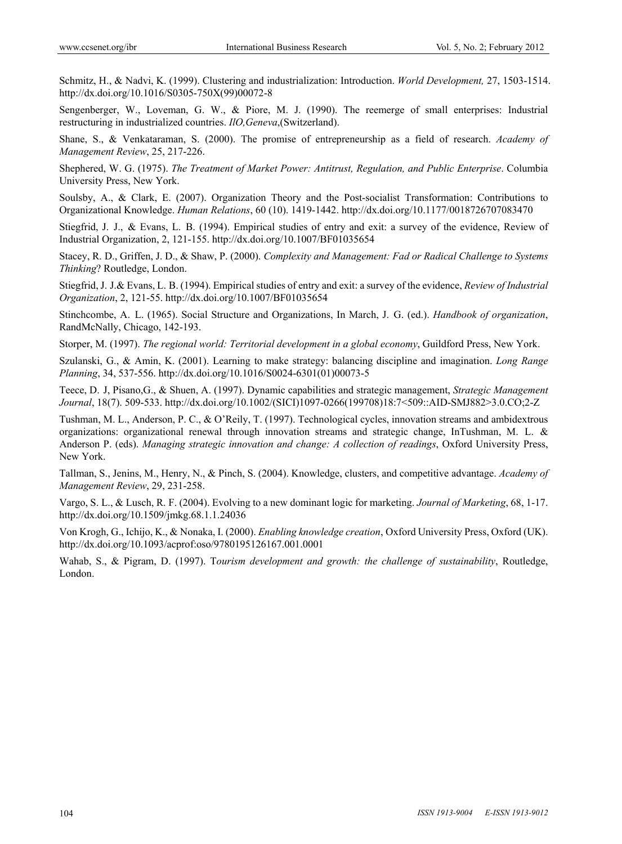Schmitz, H., & Nadvi, K. (1999). Clustering and industrialization: Introduction. *World Development,* 27, 1503-1514. http://dx.doi.org/10.1016/S0305-750X(99)00072-8

Sengenberger, W., Loveman, G. W., & Piore, M. J. (1990). The reemerge of small enterprises: Industrial restructuring in industrialized countries. *IlO,Geneva*,(Switzerland).

Shane, S., & Venkataraman, S. (2000). The promise of entrepreneurship as a field of research. *Academy of Management Review*, 25, 217-226.

Shephered, W. G. (1975). *The Treatment of Market Power: Antitrust, Regulation, and Public Enterprise*. Columbia University Press, New York.

Soulsby, A., & Clark, E. (2007). Organization Theory and the Post-socialist Transformation: Contributions to Organizational Knowledge. *Human Relations*, 60 (10). 1419-1442. http://dx.doi.org/10.1177/0018726707083470

Stiegfrid, J. J., & Evans, L. B. (1994). Empirical studies of entry and exit: a survey of the evidence, Review of Industrial Organization, 2, 121-155. http://dx.doi.org/10.1007/BF01035654

Stacey, R. D., Griffen, J. D., & Shaw, P. (2000). *Complexity and Management: Fad or Radical Challenge to Systems Thinking*? Routledge, London.

Stiegfrid, J. J.& Evans, L. B. (1994). Empirical studies of entry and exit: a survey of the evidence, *Review of Industrial Organization*, 2, 121-55. http://dx.doi.org/10.1007/BF01035654

Stinchcombe, A. L. (1965). Social Structure and Organizations, In March, J. G. (ed.). *Handbook of organization*, RandMcNally, Chicago, 142-193.

Storper, M. (1997). *The regional world: Territorial development in a global economy*, Guildford Press, New York.

Szulanski, G., & Amin, K. (2001). Learning to make strategy: balancing discipline and imagination. *Long Range Planning*, 34, 537-556. http://dx.doi.org/10.1016/S0024-6301(01)00073-5

Teece, D. J, Pisano,G., & Shuen, A. (1997). Dynamic capabilities and strategic management, *Strategic Management Journal*, 18(7). 509-533. http://dx.doi.org/10.1002/(SICI)1097-0266(199708)18:7<509::AID-SMJ882>3.0.CO;2-Z

Tushman, M. L., Anderson, P. C., & O'Reily, T. (1997). Technological cycles, innovation streams and ambidextrous organizations: organizational renewal through innovation streams and strategic change, InTushman, M. L. & Anderson P. (eds). *Managing strategic innovation and change: A collection of readings*, Oxford University Press, New York.

Tallman, S., Jenins, M., Henry, N., & Pinch, S. (2004). Knowledge, clusters, and competitive advantage. *Academy of Management Review*, 29, 231-258.

Vargo, S. L., & Lusch, R. F. (2004). Evolving to a new dominant logic for marketing. *Journal of Marketing*, 68, 1-17. http://dx.doi.org/10.1509/jmkg.68.1.1.24036

Von Krogh, G., Ichijo, K., & Nonaka, I. (2000). *Enabling knowledge creation*, Oxford University Press, Oxford (UK). http://dx.doi.org/10.1093/acprof:oso/9780195126167.001.0001

Wahab, S., & Pigram, D. (1997). T*ourism development and growth: the challenge of sustainability*, Routledge, London.